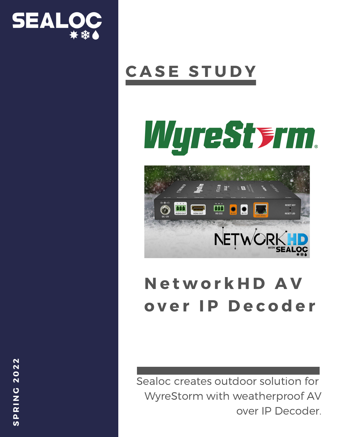

### **C A S E S T U D Y**

# WyreSterm.



### **N e t w o r k H D A V o v e r I P D e c o d e r**

Sealoc creates outdoor solution for WyreStorm with weatherproof AV over IP Decoder.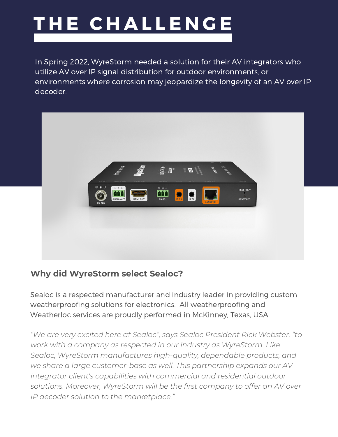# **T H E C H A L L E N G E**

In Spring 2022, WyreStorm needed a solution for their AV integrators who utilize AV over IP signal distribution for outdoor environments, or environments where corrosion may jeopardize the longevity of an AV over IP decoder.



#### **Why did WyreStorm select Sealoc?**

Sealoc is a respected manufacturer and industry leader in providing custom weatherproofing solutions for electronics. All weatherproofing and Weatherloc services are proudly performed in McKinney, Texas, USA.

*"We are very excited here at Sealoc", says Sealoc President Rick Webster, "to work with a company as respected in our industry as WyreStorm. Like Sealoc, WyreStorm manufactures high-quality, dependable products, and we share a large customer-base as well. This partnership expands our AV integrator client's capabilities with commercial and residential outdoor solutions. Moreover, WyreStorm will be the first company to offer an AV over IP decoder solution to the marketplace."*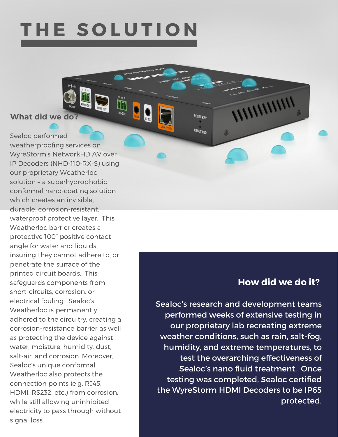### **T H E S O L U T I O N**

RS-225

#### **What did we do?**

Sealoc performed weatherproofing services on WyreStorm's NetworkHD AV over IP Decoders (NHD-110-RX-S) using our proprietary Weatherloc solution – a superhydrophobic conformal nano-coating solution which creates an invisible. durable, corrosion-resistant, waterproof protective layer. This Weatherloc barrier creates a protective 100° positive contact angle for water and liquids, insuring they cannot adhere to, or penetrate the surface of the printed circuit boards. This safeguards components from short-circuits, corrosion, or electrical fouling. Sealoc's Weatherloc is permanently adhered to the circuitry, creating a corrosion-resistance barrier as well as protecting the device against water, moisture, humidity, dust, salt-air, and corrosion. Moreover, Sealoc's unique conformal Weatherloc also protects the connection points (e.g. RJ45, HDMI, RS232, etc.) from corrosion, while still allowing uninhibited electricity to pass through without signal loss.

#### **How did we do it?**

WWWW

**RESET KEY** 

**RESET LED** 

A

Sealoc's research and development teams performed weeks of extensive testing in our proprietary lab recreating extreme weather conditions, such as rain, salt-fog, humidity, and extreme temperatures, to test the overarching effectiveness of Sealoc's nano fluid treatment. Once testing was completed, Sealoc certified the WyreStorm HDMI Decoders to be IP65 protected.